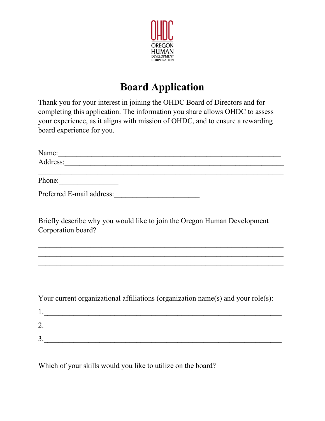

## **Board Application**

Thank you for your interest in joining the OHDC Board of Directors and for completing this application. The information you share allows OHDC to assess your experience, as it aligns with mission of OHDC, and to ensure a rewarding board experience for you.

| Name:                                                                                          |
|------------------------------------------------------------------------------------------------|
|                                                                                                |
| Phone:                                                                                         |
| Preferred E-mail address:                                                                      |
| Briefly describe why you would like to join the Oregon Human Development<br>Corporation board? |
|                                                                                                |
| Your current organizational affiliations (organization name(s) and your role(s):<br>1.         |
| 2.                                                                                             |
| $\frac{3}{2}$                                                                                  |

Which of your skills would you like to utilize on the board?